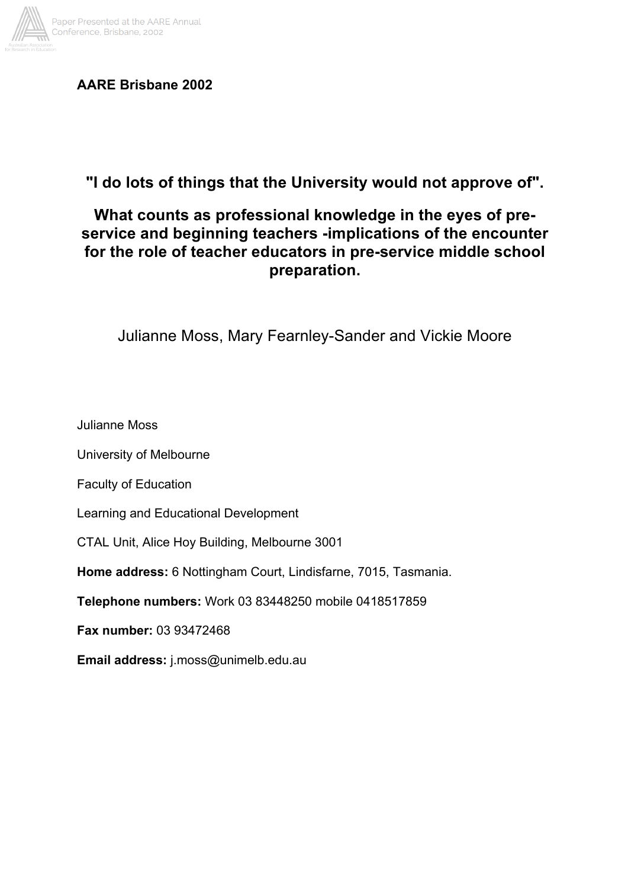

**AARE Brisbane 2002**

**"I do lots of things that the University would not approve of".**

# **What counts as professional knowledge in the eyes of preservice and beginning teachers -implications of the encounter for the role of teacher educators in pre-service middle school preparation.**

Julianne Moss, Mary Fearnley-Sander and Vickie Moore

Julianne Moss

University of Melbourne

Faculty of Education

Learning and Educational Development

CTAL Unit, Alice Hoy Building, Melbourne 3001

**Home address:** 6 Nottingham Court, Lindisfarne, 7015, Tasmania.

**Telephone numbers:** Work 03 83448250 mobile 0418517859

**Fax number:** 03 93472468

**Email address:** j.moss@unimelb.edu.au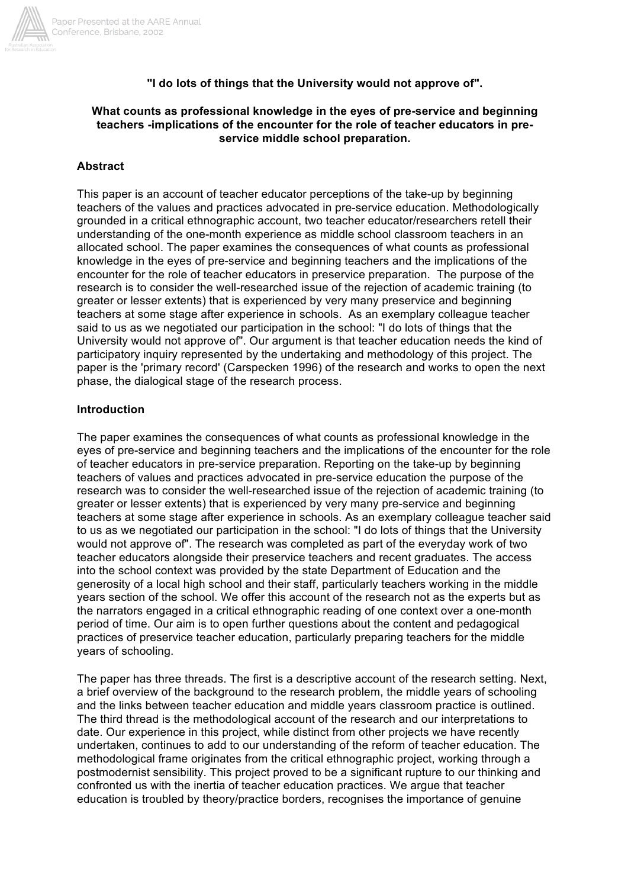

#### **"I do lots of things that the University would not approve of".**

#### **What counts as professional knowledge in the eyes of pre-service and beginning teachers -implications of the encounter for the role of teacher educators in preservice middle school preparation.**

#### **Abstract**

This paper is an account of teacher educator perceptions of the take-up by beginning teachers of the values and practices advocated in pre-service education. Methodologically grounded in a critical ethnographic account, two teacher educator/researchers retell their understanding of the one-month experience as middle school classroom teachers in an allocated school. The paper examines the consequences of what counts as professional knowledge in the eyes of pre-service and beginning teachers and the implications of the encounter for the role of teacher educators in preservice preparation. The purpose of the research is to consider the well-researched issue of the rejection of academic training (to greater or lesser extents) that is experienced by very many preservice and beginning teachers at some stage after experience in schools. As an exemplary colleague teacher said to us as we negotiated our participation in the school: "I do lots of things that the University would not approve of". Our argument is that teacher education needs the kind of participatory inquiry represented by the undertaking and methodology of this project. The paper is the 'primary record' (Carspecken 1996) of the research and works to open the next phase, the dialogical stage of the research process.

#### **Introduction**

The paper examines the consequences of what counts as professional knowledge in the eyes of pre-service and beginning teachers and the implications of the encounter for the role of teacher educators in pre-service preparation. Reporting on the take-up by beginning teachers of values and practices advocated in pre-service education the purpose of the research was to consider the well-researched issue of the rejection of academic training (to greater or lesser extents) that is experienced by very many pre-service and beginning teachers at some stage after experience in schools. As an exemplary colleague teacher said to us as we negotiated our participation in the school: "I do lots of things that the University would not approve of". The research was completed as part of the everyday work of two teacher educators alongside their preservice teachers and recent graduates. The access into the school context was provided by the state Department of Education and the generosity of a local high school and their staff, particularly teachers working in the middle years section of the school. We offer this account of the research not as the experts but as the narrators engaged in a critical ethnographic reading of one context over a one-month period of time. Our aim is to open further questions about the content and pedagogical practices of preservice teacher education, particularly preparing teachers for the middle years of schooling.

The paper has three threads. The first is a descriptive account of the research setting. Next, a brief overview of the background to the research problem, the middle years of schooling and the links between teacher education and middle years classroom practice is outlined. The third thread is the methodological account of the research and our interpretations to date. Our experience in this project, while distinct from other projects we have recently undertaken, continues to add to our understanding of the reform of teacher education. The methodological frame originates from the critical ethnographic project, working through a postmodernist sensibility. This project proved to be a significant rupture to our thinking and confronted us with the inertia of teacher education practices. We argue that teacher education is troubled by theory/practice borders, recognises the importance of genuine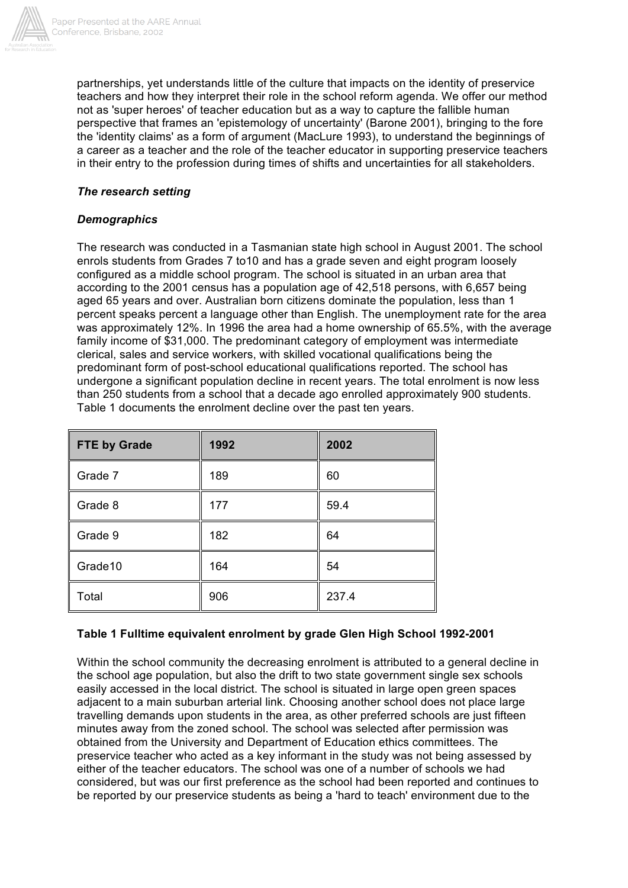

partnerships, yet understands little of the culture that impacts on the identity of preservice teachers and how they interpret their role in the school reform agenda. We offer our method not as 'super heroes' of teacher education but as a way to capture the fallible human perspective that frames an 'epistemology of uncertainty' (Barone 2001), bringing to the fore the 'identity claims' as a form of argument (MacLure 1993), to understand the beginnings of a career as a teacher and the role of the teacher educator in supporting preservice teachers in their entry to the profession during times of shifts and uncertainties for all stakeholders.

### *The research setting*

### *Demographics*

The research was conducted in a Tasmanian state high school in August 2001. The school enrols students from Grades 7 to10 and has a grade seven and eight program loosely configured as a middle school program. The school is situated in an urban area that according to the 2001 census has a population age of 42,518 persons, with 6,657 being aged 65 years and over. Australian born citizens dominate the population, less than 1 percent speaks percent a language other than English. The unemployment rate for the area was approximately 12%. In 1996 the area had a home ownership of 65.5%, with the average family income of \$31,000. The predominant category of employment was intermediate clerical, sales and service workers, with skilled vocational qualifications being the predominant form of post-school educational qualifications reported. The school has undergone a significant population decline in recent years. The total enrolment is now less than 250 students from a school that a decade ago enrolled approximately 900 students. Table 1 documents the enrolment decline over the past ten years.

| <b>FTE by Grade</b> | 1992 | 2002  |
|---------------------|------|-------|
| Grade 7             | 189  | 60    |
| Grade 8             | 177  | 59.4  |
| Grade 9             | 182  | 64    |
| Grade10             | 164  | 54    |
| Total               | 906  | 237.4 |

### **Table 1 Fulltime equivalent enrolment by grade Glen High School 1992-2001**

Within the school community the decreasing enrolment is attributed to a general decline in the school age population, but also the drift to two state government single sex schools easily accessed in the local district. The school is situated in large open green spaces adjacent to a main suburban arterial link. Choosing another school does not place large travelling demands upon students in the area, as other preferred schools are just fifteen minutes away from the zoned school. The school was selected after permission was obtained from the University and Department of Education ethics committees. The preservice teacher who acted as a key informant in the study was not being assessed by either of the teacher educators. The school was one of a number of schools we had considered, but was our first preference as the school had been reported and continues to be reported by our preservice students as being a 'hard to teach' environment due to the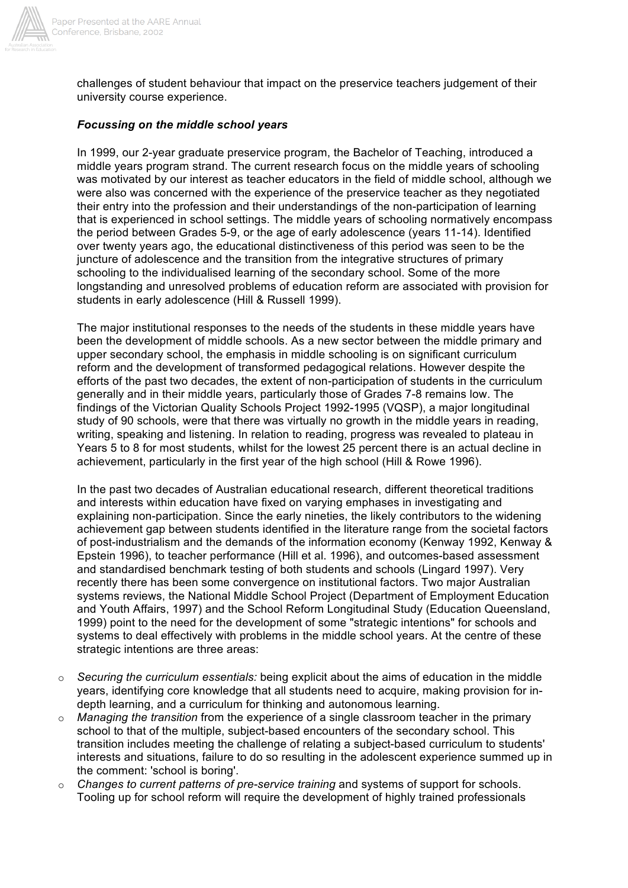

challenges of student behaviour that impact on the preservice teachers judgement of their university course experience.

#### *Focussing on the middle school years*

In 1999, our 2-year graduate preservice program, the Bachelor of Teaching, introduced a middle years program strand. The current research focus on the middle years of schooling was motivated by our interest as teacher educators in the field of middle school, although we were also was concerned with the experience of the preservice teacher as they negotiated their entry into the profession and their understandings of the non-participation of learning that is experienced in school settings. The middle years of schooling normatively encompass the period between Grades 5-9, or the age of early adolescence (years 11-14). Identified over twenty years ago, the educational distinctiveness of this period was seen to be the juncture of adolescence and the transition from the integrative structures of primary schooling to the individualised learning of the secondary school. Some of the more longstanding and unresolved problems of education reform are associated with provision for students in early adolescence (Hill & Russell 1999).

The major institutional responses to the needs of the students in these middle years have been the development of middle schools. As a new sector between the middle primary and upper secondary school, the emphasis in middle schooling is on significant curriculum reform and the development of transformed pedagogical relations. However despite the efforts of the past two decades, the extent of non-participation of students in the curriculum generally and in their middle years, particularly those of Grades 7-8 remains low. The findings of the Victorian Quality Schools Project 1992-1995 (VQSP), a major longitudinal study of 90 schools, were that there was virtually no growth in the middle years in reading, writing, speaking and listening. In relation to reading, progress was revealed to plateau in Years 5 to 8 for most students, whilst for the lowest 25 percent there is an actual decline in achievement, particularly in the first year of the high school (Hill & Rowe 1996).

In the past two decades of Australian educational research, different theoretical traditions and interests within education have fixed on varying emphases in investigating and explaining non-participation. Since the early nineties, the likely contributors to the widening achievement gap between students identified in the literature range from the societal factors of post-industrialism and the demands of the information economy (Kenway 1992, Kenway & Epstein 1996), to teacher performance (Hill et al. 1996), and outcomes-based assessment and standardised benchmark testing of both students and schools (Lingard 1997). Very recently there has been some convergence on institutional factors. Two major Australian systems reviews, the National Middle School Project (Department of Employment Education and Youth Affairs, 1997) and the School Reform Longitudinal Study (Education Queensland, 1999) point to the need for the development of some "strategic intentions" for schools and systems to deal effectively with problems in the middle school years. At the centre of these strategic intentions are three areas:

- o *Securing the curriculum essentials:* being explicit about the aims of education in the middle years, identifying core knowledge that all students need to acquire, making provision for indepth learning, and a curriculum for thinking and autonomous learning.
- o *Managing the transition* from the experience of a single classroom teacher in the primary school to that of the multiple, subject-based encounters of the secondary school. This transition includes meeting the challenge of relating a subject-based curriculum to students' interests and situations, failure to do so resulting in the adolescent experience summed up in the comment: 'school is boring'.
- o *Changes to current patterns of pre-service training* and systems of support for schools. Tooling up for school reform will require the development of highly trained professionals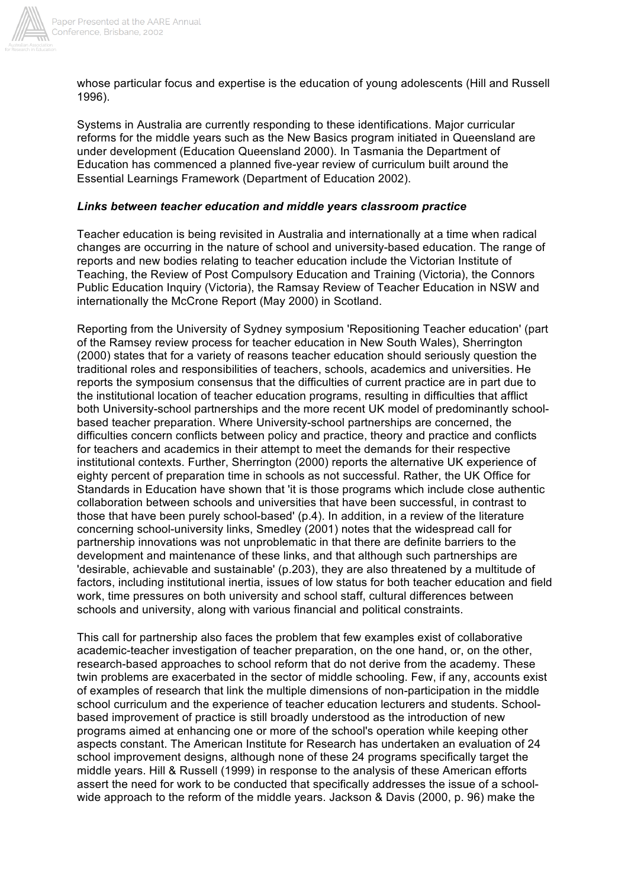

whose particular focus and expertise is the education of young adolescents (Hill and Russell 1996).

Systems in Australia are currently responding to these identifications. Major curricular reforms for the middle years such as the New Basics program initiated in Queensland are under development (Education Queensland 2000). In Tasmania the Department of Education has commenced a planned five-year review of curriculum built around the Essential Learnings Framework (Department of Education 2002).

### *Links between teacher education and middle years classroom practice*

Teacher education is being revisited in Australia and internationally at a time when radical changes are occurring in the nature of school and university-based education. The range of reports and new bodies relating to teacher education include the Victorian Institute of Teaching, the Review of Post Compulsory Education and Training (Victoria), the Connors Public Education Inquiry (Victoria), the Ramsay Review of Teacher Education in NSW and internationally the McCrone Report (May 2000) in Scotland.

Reporting from the University of Sydney symposium 'Repositioning Teacher education' (part of the Ramsey review process for teacher education in New South Wales), Sherrington (2000) states that for a variety of reasons teacher education should seriously question the traditional roles and responsibilities of teachers, schools, academics and universities. He reports the symposium consensus that the difficulties of current practice are in part due to the institutional location of teacher education programs, resulting in difficulties that afflict both University-school partnerships and the more recent UK model of predominantly schoolbased teacher preparation. Where University-school partnerships are concerned, the difficulties concern conflicts between policy and practice, theory and practice and conflicts for teachers and academics in their attempt to meet the demands for their respective institutional contexts. Further, Sherrington (2000) reports the alternative UK experience of eighty percent of preparation time in schools as not successful. Rather, the UK Office for Standards in Education have shown that 'it is those programs which include close authentic collaboration between schools and universities that have been successful, in contrast to those that have been purely school-based' (p.4). In addition, in a review of the literature concerning school-university links, Smedley (2001) notes that the widespread call for partnership innovations was not unproblematic in that there are definite barriers to the development and maintenance of these links, and that although such partnerships are 'desirable, achievable and sustainable' (p.203), they are also threatened by a multitude of factors, including institutional inertia, issues of low status for both teacher education and field work, time pressures on both university and school staff, cultural differences between schools and university, along with various financial and political constraints.

This call for partnership also faces the problem that few examples exist of collaborative academic-teacher investigation of teacher preparation, on the one hand, or, on the other, research-based approaches to school reform that do not derive from the academy. These twin problems are exacerbated in the sector of middle schooling. Few, if any, accounts exist of examples of research that link the multiple dimensions of non-participation in the middle school curriculum and the experience of teacher education lecturers and students. Schoolbased improvement of practice is still broadly understood as the introduction of new programs aimed at enhancing one or more of the school's operation while keeping other aspects constant. The American Institute for Research has undertaken an evaluation of 24 school improvement designs, although none of these 24 programs specifically target the middle years. Hill & Russell (1999) in response to the analysis of these American efforts assert the need for work to be conducted that specifically addresses the issue of a schoolwide approach to the reform of the middle years. Jackson & Davis (2000, p. 96) make the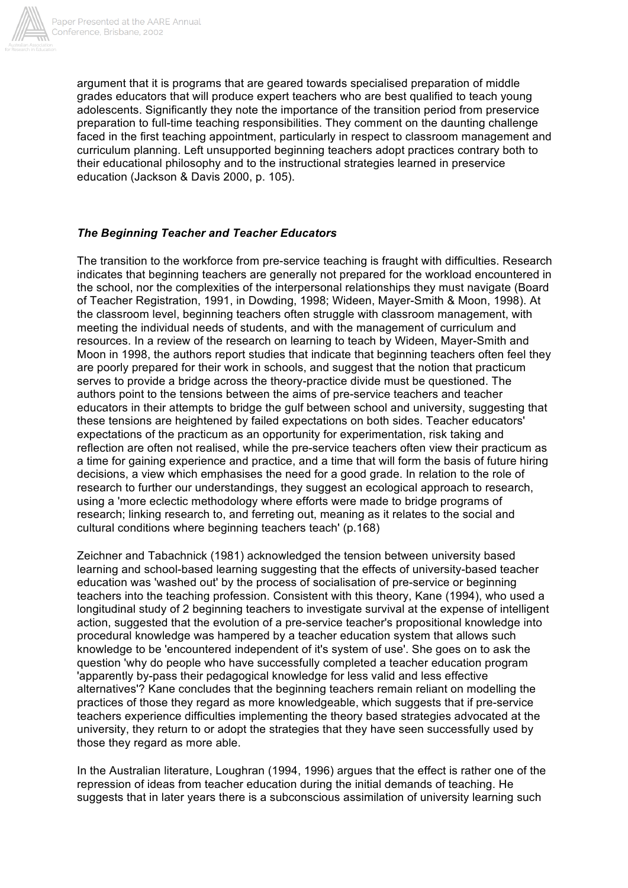

argument that it is programs that are geared towards specialised preparation of middle grades educators that will produce expert teachers who are best qualified to teach young adolescents. Significantly they note the importance of the transition period from preservice preparation to full-time teaching responsibilities. They comment on the daunting challenge faced in the first teaching appointment, particularly in respect to classroom management and curriculum planning. Left unsupported beginning teachers adopt practices contrary both to their educational philosophy and to the instructional strategies learned in preservice education (Jackson & Davis 2000, p. 105).

### *The Beginning Teacher and Teacher Educators*

The transition to the workforce from pre-service teaching is fraught with difficulties. Research indicates that beginning teachers are generally not prepared for the workload encountered in the school, nor the complexities of the interpersonal relationships they must navigate (Board of Teacher Registration, 1991, in Dowding, 1998; Wideen, Mayer-Smith & Moon, 1998). At the classroom level, beginning teachers often struggle with classroom management, with meeting the individual needs of students, and with the management of curriculum and resources. In a review of the research on learning to teach by Wideen, Mayer-Smith and Moon in 1998, the authors report studies that indicate that beginning teachers often feel they are poorly prepared for their work in schools, and suggest that the notion that practicum serves to provide a bridge across the theory-practice divide must be questioned. The authors point to the tensions between the aims of pre-service teachers and teacher educators in their attempts to bridge the gulf between school and university, suggesting that these tensions are heightened by failed expectations on both sides. Teacher educators' expectations of the practicum as an opportunity for experimentation, risk taking and reflection are often not realised, while the pre-service teachers often view their practicum as a time for gaining experience and practice, and a time that will form the basis of future hiring decisions, a view which emphasises the need for a good grade. In relation to the role of research to further our understandings, they suggest an ecological approach to research, using a 'more eclectic methodology where efforts were made to bridge programs of research; linking research to, and ferreting out, meaning as it relates to the social and cultural conditions where beginning teachers teach' (p.168)

Zeichner and Tabachnick (1981) acknowledged the tension between university based learning and school-based learning suggesting that the effects of university-based teacher education was 'washed out' by the process of socialisation of pre-service or beginning teachers into the teaching profession. Consistent with this theory, Kane (1994), who used a longitudinal study of 2 beginning teachers to investigate survival at the expense of intelligent action, suggested that the evolution of a pre-service teacher's propositional knowledge into procedural knowledge was hampered by a teacher education system that allows such knowledge to be 'encountered independent of it's system of use'. She goes on to ask the question 'why do people who have successfully completed a teacher education program 'apparently by-pass their pedagogical knowledge for less valid and less effective alternatives'? Kane concludes that the beginning teachers remain reliant on modelling the practices of those they regard as more knowledgeable, which suggests that if pre-service teachers experience difficulties implementing the theory based strategies advocated at the university, they return to or adopt the strategies that they have seen successfully used by those they regard as more able.

In the Australian literature, Loughran (1994, 1996) argues that the effect is rather one of the repression of ideas from teacher education during the initial demands of teaching. He suggests that in later years there is a subconscious assimilation of university learning such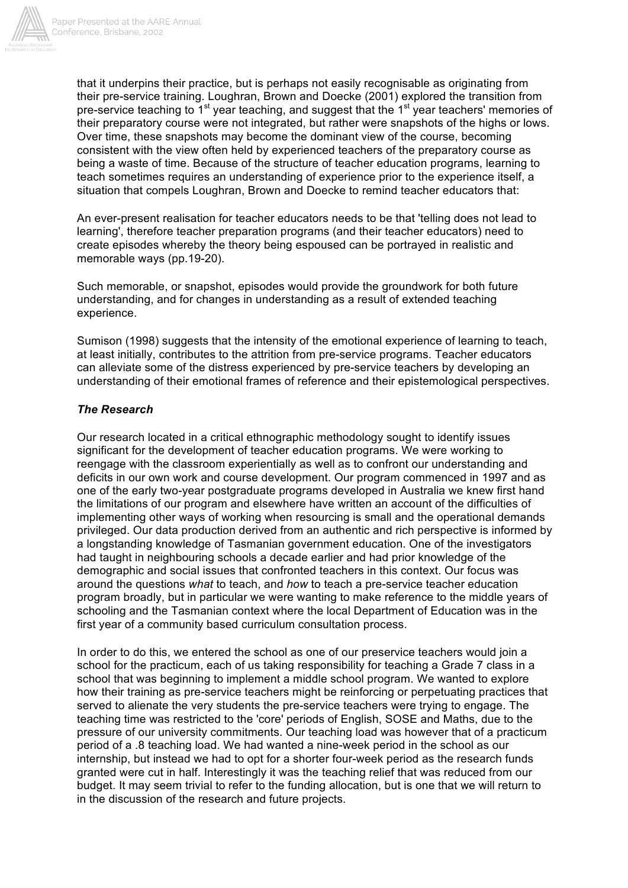

that it underpins their practice, but is perhaps not easily recognisable as originating from their pre-service training. Loughran, Brown and Doecke (2001) explored the transition from pre-service teaching to  $1<sup>st</sup>$  year teaching, and suggest that the  $1<sup>st</sup>$  year teachers' memories of their preparatory course were not integrated, but rather were snapshots of the highs or lows. Over time, these snapshots may become the dominant view of the course, becoming consistent with the view often held by experienced teachers of the preparatory course as being a waste of time. Because of the structure of teacher education programs, learning to teach sometimes requires an understanding of experience prior to the experience itself, a situation that compels Loughran, Brown and Doecke to remind teacher educators that:

An ever-present realisation for teacher educators needs to be that 'telling does not lead to learning', therefore teacher preparation programs (and their teacher educators) need to create episodes whereby the theory being espoused can be portrayed in realistic and memorable ways (pp.19-20).

Such memorable, or snapshot, episodes would provide the groundwork for both future understanding, and for changes in understanding as a result of extended teaching experience.

Sumison (1998) suggests that the intensity of the emotional experience of learning to teach, at least initially, contributes to the attrition from pre-service programs. Teacher educators can alleviate some of the distress experienced by pre-service teachers by developing an understanding of their emotional frames of reference and their epistemological perspectives.

### *The Research*

Our research located in a critical ethnographic methodology sought to identify issues significant for the development of teacher education programs. We were working to reengage with the classroom experientially as well as to confront our understanding and deficits in our own work and course development. Our program commenced in 1997 and as one of the early two-year postgraduate programs developed in Australia we knew first hand the limitations of our program and elsewhere have written an account of the difficulties of implementing other ways of working when resourcing is small and the operational demands privileged. Our data production derived from an authentic and rich perspective is informed by a longstanding knowledge of Tasmanian government education. One of the investigators had taught in neighbouring schools a decade earlier and had prior knowledge of the demographic and social issues that confronted teachers in this context. Our focus was around the questions *what* to teach, and *how* to teach a pre-service teacher education program broadly, but in particular we were wanting to make reference to the middle years of schooling and the Tasmanian context where the local Department of Education was in the first year of a community based curriculum consultation process.

In order to do this, we entered the school as one of our preservice teachers would join a school for the practicum, each of us taking responsibility for teaching a Grade 7 class in a school that was beginning to implement a middle school program. We wanted to explore how their training as pre-service teachers might be reinforcing or perpetuating practices that served to alienate the very students the pre-service teachers were trying to engage. The teaching time was restricted to the 'core' periods of English, SOSE and Maths, due to the pressure of our university commitments. Our teaching load was however that of a practicum period of a .8 teaching load. We had wanted a nine-week period in the school as our internship, but instead we had to opt for a shorter four-week period as the research funds granted were cut in half. Interestingly it was the teaching relief that was reduced from our budget. It may seem trivial to refer to the funding allocation, but is one that we will return to in the discussion of the research and future projects.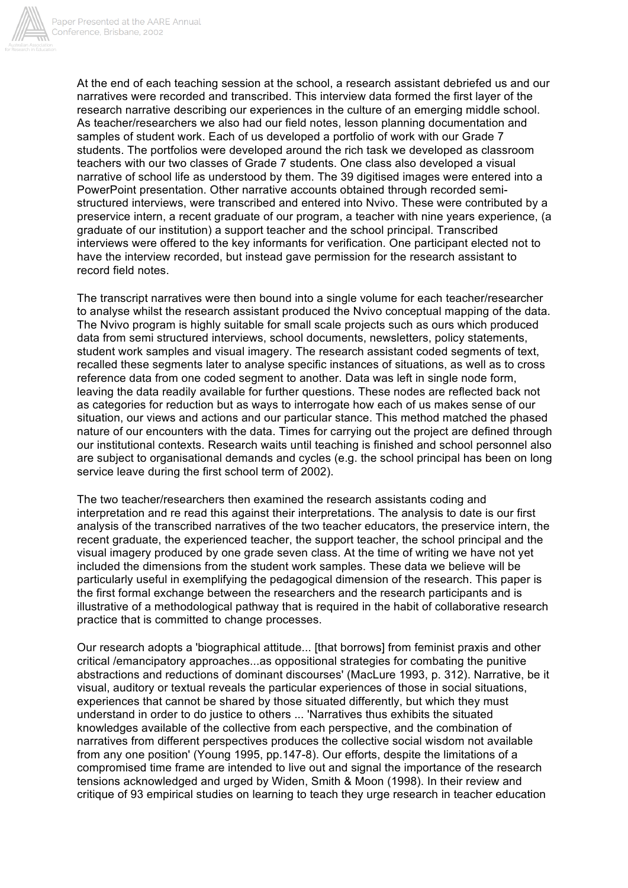

At the end of each teaching session at the school, a research assistant debriefed us and our narratives were recorded and transcribed. This interview data formed the first layer of the research narrative describing our experiences in the culture of an emerging middle school. As teacher/researchers we also had our field notes, lesson planning documentation and samples of student work. Each of us developed a portfolio of work with our Grade 7 students. The portfolios were developed around the rich task we developed as classroom teachers with our two classes of Grade 7 students. One class also developed a visual narrative of school life as understood by them. The 39 digitised images were entered into a PowerPoint presentation. Other narrative accounts obtained through recorded semistructured interviews, were transcribed and entered into Nvivo. These were contributed by a preservice intern, a recent graduate of our program, a teacher with nine years experience, (a graduate of our institution) a support teacher and the school principal. Transcribed interviews were offered to the key informants for verification. One participant elected not to have the interview recorded, but instead gave permission for the research assistant to record field notes.

The transcript narratives were then bound into a single volume for each teacher/researcher to analyse whilst the research assistant produced the Nvivo conceptual mapping of the data. The Nvivo program is highly suitable for small scale projects such as ours which produced data from semi structured interviews, school documents, newsletters, policy statements, student work samples and visual imagery. The research assistant coded segments of text, recalled these segments later to analyse specific instances of situations, as well as to cross reference data from one coded segment to another. Data was left in single node form, leaving the data readily available for further questions. These nodes are reflected back not as categories for reduction but as ways to interrogate how each of us makes sense of our situation, our views and actions and our particular stance. This method matched the phased nature of our encounters with the data. Times for carrying out the project are defined through our institutional contexts. Research waits until teaching is finished and school personnel also are subject to organisational demands and cycles (e.g. the school principal has been on long service leave during the first school term of 2002).

The two teacher/researchers then examined the research assistants coding and interpretation and re read this against their interpretations. The analysis to date is our first analysis of the transcribed narratives of the two teacher educators, the preservice intern, the recent graduate, the experienced teacher, the support teacher, the school principal and the visual imagery produced by one grade seven class. At the time of writing we have not yet included the dimensions from the student work samples. These data we believe will be particularly useful in exemplifying the pedagogical dimension of the research. This paper is the first formal exchange between the researchers and the research participants and is illustrative of a methodological pathway that is required in the habit of collaborative research practice that is committed to change processes.

Our research adopts a 'biographical attitude... [that borrows] from feminist praxis and other critical /emancipatory approaches...as oppositional strategies for combating the punitive abstractions and reductions of dominant discourses' (MacLure 1993, p. 312). Narrative, be it visual, auditory or textual reveals the particular experiences of those in social situations, experiences that cannot be shared by those situated differently, but which they must understand in order to do justice to others ... 'Narratives thus exhibits the situated knowledges available of the collective from each perspective, and the combination of narratives from different perspectives produces the collective social wisdom not available from any one position' (Young 1995, pp.147-8). Our efforts, despite the limitations of a compromised time frame are intended to live out and signal the importance of the research tensions acknowledged and urged by Widen, Smith & Moon (1998). In their review and critique of 93 empirical studies on learning to teach they urge research in teacher education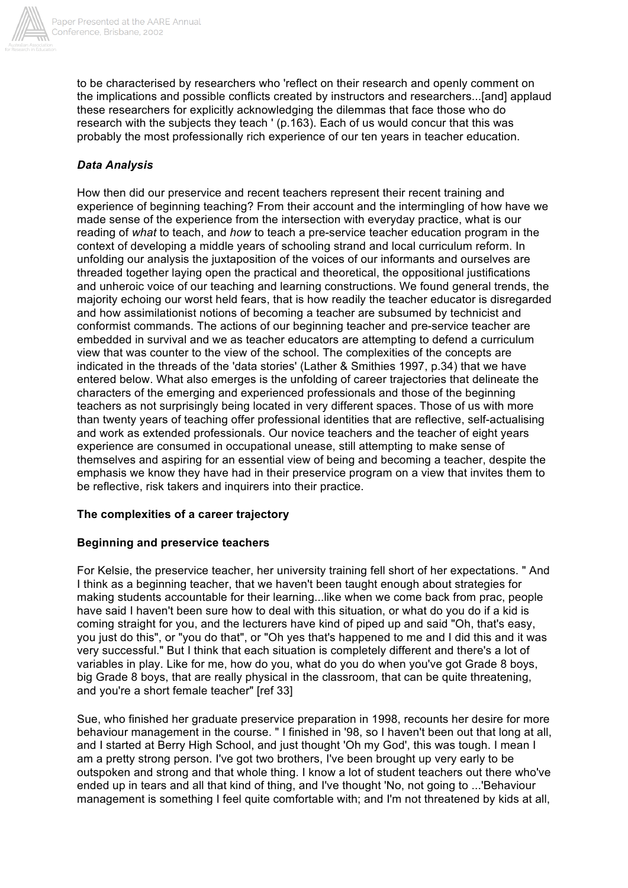

to be characterised by researchers who 'reflect on their research and openly comment on the implications and possible conflicts created by instructors and researchers...[and] applaud these researchers for explicitly acknowledging the dilemmas that face those who do research with the subjects they teach ' (p.163). Each of us would concur that this was probably the most professionally rich experience of our ten years in teacher education.

## *Data Analysis*

How then did our preservice and recent teachers represent their recent training and experience of beginning teaching? From their account and the intermingling of how have we made sense of the experience from the intersection with everyday practice, what is our reading of *what* to teach, and *how* to teach a pre-service teacher education program in the context of developing a middle years of schooling strand and local curriculum reform. In unfolding our analysis the juxtaposition of the voices of our informants and ourselves are threaded together laying open the practical and theoretical, the oppositional justifications and unheroic voice of our teaching and learning constructions. We found general trends, the majority echoing our worst held fears, that is how readily the teacher educator is disregarded and how assimilationist notions of becoming a teacher are subsumed by technicist and conformist commands. The actions of our beginning teacher and pre-service teacher are embedded in survival and we as teacher educators are attempting to defend a curriculum view that was counter to the view of the school. The complexities of the concepts are indicated in the threads of the 'data stories' (Lather & Smithies 1997, p.34) that we have entered below. What also emerges is the unfolding of career trajectories that delineate the characters of the emerging and experienced professionals and those of the beginning teachers as not surprisingly being located in very different spaces. Those of us with more than twenty years of teaching offer professional identities that are reflective, self-actualising and work as extended professionals. Our novice teachers and the teacher of eight years experience are consumed in occupational unease, still attempting to make sense of themselves and aspiring for an essential view of being and becoming a teacher, despite the emphasis we know they have had in their preservice program on a view that invites them to be reflective, risk takers and inquirers into their practice.

### **The complexities of a career trajectory**

### **Beginning and preservice teachers**

For Kelsie, the preservice teacher, her university training fell short of her expectations. " And I think as a beginning teacher, that we haven't been taught enough about strategies for making students accountable for their learning...like when we come back from prac, people have said I haven't been sure how to deal with this situation, or what do you do if a kid is coming straight for you, and the lecturers have kind of piped up and said "Oh, that's easy, you just do this", or "you do that", or "Oh yes that's happened to me and I did this and it was very successful." But I think that each situation is completely different and there's a lot of variables in play. Like for me, how do you, what do you do when you've got Grade 8 boys, big Grade 8 boys, that are really physical in the classroom, that can be quite threatening, and you're a short female teacher" [ref 33]

Sue, who finished her graduate preservice preparation in 1998, recounts her desire for more behaviour management in the course. " I finished in '98, so I haven't been out that long at all, and I started at Berry High School, and just thought 'Oh my God', this was tough. I mean I am a pretty strong person. I've got two brothers, I've been brought up very early to be outspoken and strong and that whole thing. I know a lot of student teachers out there who've ended up in tears and all that kind of thing, and I've thought 'No, not going to ...'Behaviour management is something I feel quite comfortable with; and I'm not threatened by kids at all,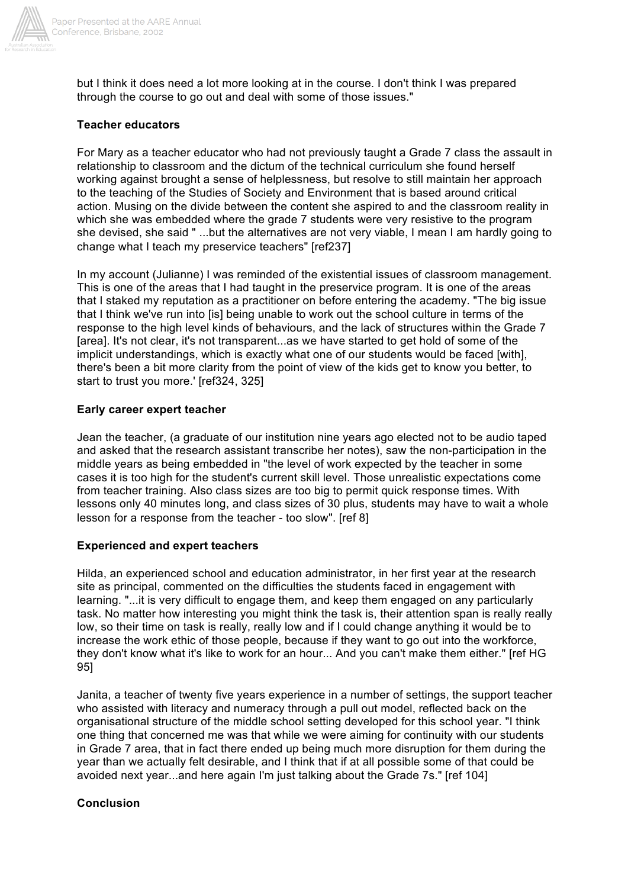

but I think it does need a lot more looking at in the course. I don't think I was prepared through the course to go out and deal with some of those issues."

### **Teacher educators**

For Mary as a teacher educator who had not previously taught a Grade 7 class the assault in relationship to classroom and the dictum of the technical curriculum she found herself working against brought a sense of helplessness, but resolve to still maintain her approach to the teaching of the Studies of Society and Environment that is based around critical action. Musing on the divide between the content she aspired to and the classroom reality in which she was embedded where the grade 7 students were very resistive to the program she devised, she said " ...but the alternatives are not very viable, I mean I am hardly going to change what I teach my preservice teachers" [ref237]

In my account (Julianne) I was reminded of the existential issues of classroom management. This is one of the areas that I had taught in the preservice program. It is one of the areas that I staked my reputation as a practitioner on before entering the academy. "The big issue that I think we've run into [is] being unable to work out the school culture in terms of the response to the high level kinds of behaviours, and the lack of structures within the Grade 7 [area]. It's not clear, it's not transparent...as we have started to get hold of some of the implicit understandings, which is exactly what one of our students would be faced [with], there's been a bit more clarity from the point of view of the kids get to know you better, to start to trust you more.' [ref324, 325]

#### **Early career expert teacher**

Jean the teacher, (a graduate of our institution nine years ago elected not to be audio taped and asked that the research assistant transcribe her notes), saw the non-participation in the middle years as being embedded in "the level of work expected by the teacher in some cases it is too high for the student's current skill level. Those unrealistic expectations come from teacher training. Also class sizes are too big to permit quick response times. With lessons only 40 minutes long, and class sizes of 30 plus, students may have to wait a whole lesson for a response from the teacher - too slow". [ref 8]

#### **Experienced and expert teachers**

Hilda, an experienced school and education administrator, in her first year at the research site as principal, commented on the difficulties the students faced in engagement with learning. "...it is very difficult to engage them, and keep them engaged on any particularly task. No matter how interesting you might think the task is, their attention span is really really low, so their time on task is really, really low and if I could change anything it would be to increase the work ethic of those people, because if they want to go out into the workforce, they don't know what it's like to work for an hour... And you can't make them either." [ref HG 95]

Janita, a teacher of twenty five years experience in a number of settings, the support teacher who assisted with literacy and numeracy through a pull out model, reflected back on the organisational structure of the middle school setting developed for this school year. "I think one thing that concerned me was that while we were aiming for continuity with our students in Grade 7 area, that in fact there ended up being much more disruption for them during the year than we actually felt desirable, and I think that if at all possible some of that could be avoided next year...and here again I'm just talking about the Grade 7s." [ref 104]

#### **Conclusion**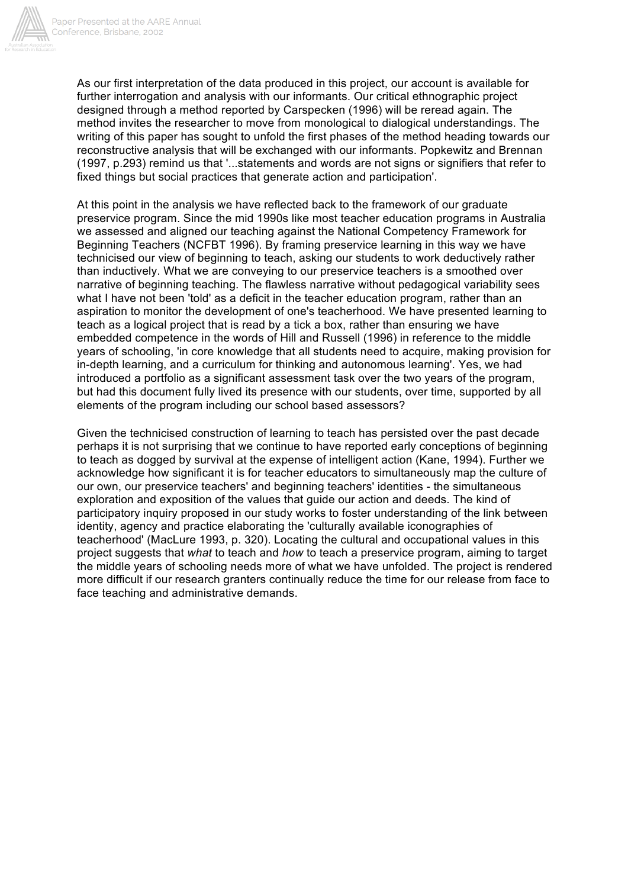

As our first interpretation of the data produced in this project, our account is available for further interrogation and analysis with our informants. Our critical ethnographic project designed through a method reported by Carspecken (1996) will be reread again. The method invites the researcher to move from monological to dialogical understandings. The writing of this paper has sought to unfold the first phases of the method heading towards our reconstructive analysis that will be exchanged with our informants. Popkewitz and Brennan (1997, p.293) remind us that '...statements and words are not signs or signifiers that refer to fixed things but social practices that generate action and participation'.

At this point in the analysis we have reflected back to the framework of our graduate preservice program. Since the mid 1990s like most teacher education programs in Australia we assessed and aligned our teaching against the National Competency Framework for Beginning Teachers (NCFBT 1996). By framing preservice learning in this way we have technicised our view of beginning to teach, asking our students to work deductively rather than inductively. What we are conveying to our preservice teachers is a smoothed over narrative of beginning teaching. The flawless narrative without pedagogical variability sees what I have not been 'told' as a deficit in the teacher education program, rather than an aspiration to monitor the development of one's teacherhood. We have presented learning to teach as a logical project that is read by a tick a box, rather than ensuring we have embedded competence in the words of Hill and Russell (1996) in reference to the middle years of schooling, 'in core knowledge that all students need to acquire, making provision for in-depth learning, and a curriculum for thinking and autonomous learning'. Yes, we had introduced a portfolio as a significant assessment task over the two years of the program, but had this document fully lived its presence with our students, over time, supported by all elements of the program including our school based assessors?

Given the technicised construction of learning to teach has persisted over the past decade perhaps it is not surprising that we continue to have reported early conceptions of beginning to teach as dogged by survival at the expense of intelligent action (Kane, 1994). Further we acknowledge how significant it is for teacher educators to simultaneously map the culture of our own, our preservice teachers' and beginning teachers' identities - the simultaneous exploration and exposition of the values that guide our action and deeds. The kind of participatory inquiry proposed in our study works to foster understanding of the link between identity, agency and practice elaborating the 'culturally available iconographies of teacherhood' (MacLure 1993, p. 320). Locating the cultural and occupational values in this project suggests that *what* to teach and *how* to teach a preservice program, aiming to target the middle years of schooling needs more of what we have unfolded. The project is rendered more difficult if our research granters continually reduce the time for our release from face to face teaching and administrative demands.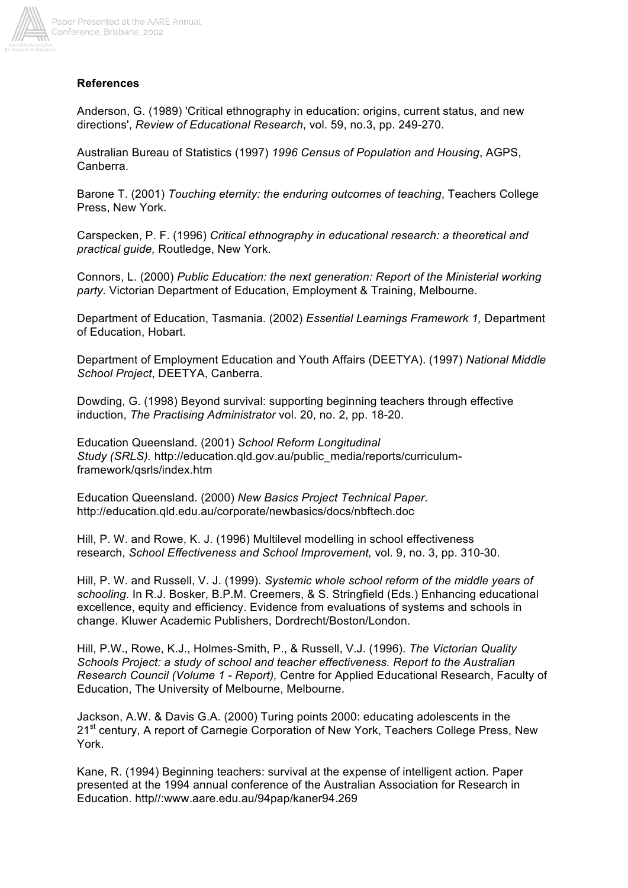

### **References**

Anderson, G. (1989) 'Critical ethnography in education: origins, current status, and new directions', *Review of Educational Research*, vol. 59, no.3, pp. 249-270.

Australian Bureau of Statistics (1997) *1996 Census of Population and Housing*, AGPS, Canberra.

Barone T. (2001) *Touching eternity: the enduring outcomes of teaching*, Teachers College Press, New York.

Carspecken, P. F. (1996) *Critical ethnography in educational research: a theoretical and practical guide,* Routledge, New York.

Connors, L. (2000) *Public Education: the next generation: Report of the Ministerial working party.* Victorian Department of Education, Employment & Training, Melbourne.

Department of Education, Tasmania. (2002) *Essential Learnings Framework 1,* Department of Education, Hobart.

Department of Employment Education and Youth Affairs (DEETYA). (1997) *National Middle School Project*, DEETYA, Canberra.

Dowding, G. (1998) Beyond survival: supporting beginning teachers through effective induction, *The Practising Administrator* vol. 20, no. 2, pp. 18-20.

Education Queensland. (2001) *School Reform Longitudinal Study (SRLS).* http://education.qld.gov.au/public\_media/reports/curriculumframework/qsrls/index.htm

Education Queensland. (2000) *New Basics Project Technical Paper*. http://education.qld.edu.au/corporate/newbasics/docs/nbftech.doc

Hill, P. W. and Rowe, K. J. (1996) Multilevel modelling in school effectiveness research, *School Effectiveness and School Improvement,* vol. 9, no. 3, pp. 310-30.

Hill, P. W. and Russell, V. J. (1999). *Systemic whole school reform of the middle years of schooling*. In R.J. Bosker, B.P.M. Creemers, & S. Stringfield (Eds.) Enhancing educational excellence, equity and efficiency. Evidence from evaluations of systems and schools in change. Kluwer Academic Publishers, Dordrecht/Boston/London.

Hill, P.W., Rowe, K.J., Holmes-Smith, P., & Russell, V.J. (1996). *The Victorian Quality Schools Project: a study of school and teacher effectiveness. Report to the Australian Research Council (Volume 1 - Report),* Centre for Applied Educational Research, Faculty of Education, The University of Melbourne, Melbourne.

Jackson, A.W. & Davis G.A. (2000) Turing points 2000: educating adolescents in the 21<sup>st</sup> century, A report of Carnegie Corporation of New York, Teachers College Press, New York.

Kane, R. (1994) Beginning teachers: survival at the expense of intelligent action. Paper presented at the 1994 annual conference of the Australian Association for Research in Education. http//:www.aare.edu.au/94pap/kaner94.269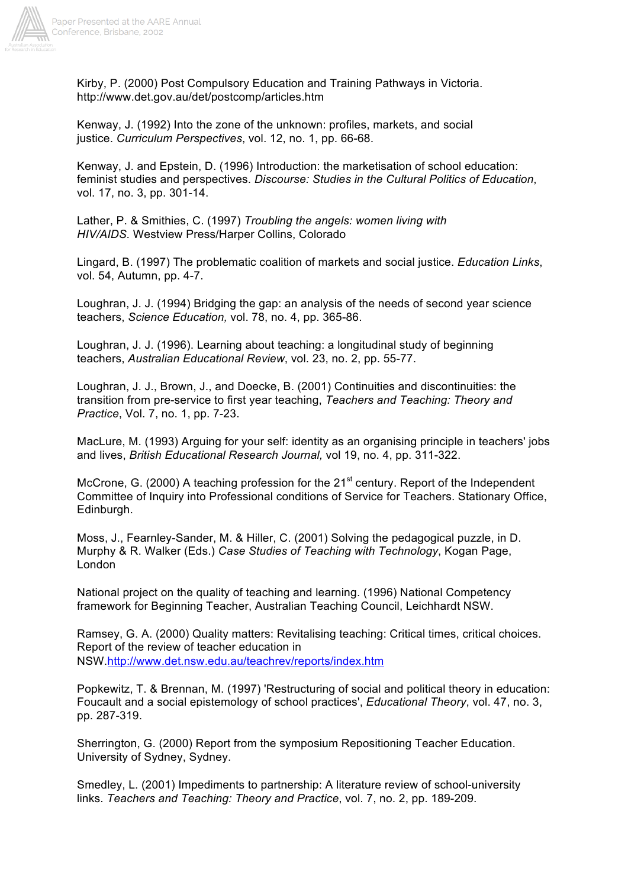

Kirby, P. (2000) Post Compulsory Education and Training Pathways in Victoria. http://www.det.gov.au/det/postcomp/articles.htm

Kenway, J. (1992) Into the zone of the unknown: profiles, markets, and social justice. *Curriculum Perspectives*, vol. 12, no. 1, pp. 66-68.

Kenway, J. and Epstein, D. (1996) Introduction: the marketisation of school education: feminist studies and perspectives. *Discourse: Studies in the Cultural Politics of Education*, vol. 17, no. 3, pp. 301-14.

Lather, P. & Smithies, C. (1997) *Troubling the angels: women living with HIV/AIDS.* Westview Press/Harper Collins, Colorado

Lingard, B. (1997) The problematic coalition of markets and social justice. *Education Links*, vol. 54, Autumn, pp. 4-7.

Loughran, J. J. (1994) Bridging the gap: an analysis of the needs of second year science teachers, *Science Education,* vol. 78, no. 4, pp. 365-86.

Loughran, J. J. (1996). Learning about teaching: a longitudinal study of beginning teachers, *Australian Educational Review*, vol. 23, no. 2, pp. 55-77.

Loughran, J. J., Brown, J., and Doecke, B. (2001) Continuities and discontinuities: the transition from pre-service to first year teaching, *Teachers and Teaching: Theory and Practice*, Vol. 7, no. 1, pp. 7-23.

MacLure, M. (1993) Arguing for your self: identity as an organising principle in teachers' jobs and lives, *British Educational Research Journal,* vol 19, no. 4, pp. 311-322.

McCrone, G. (2000) A teaching profession for the 21<sup>st</sup> century. Report of the Independent Committee of Inquiry into Professional conditions of Service for Teachers. Stationary Office, Edinburgh.

Moss, J., Fearnley-Sander, M. & Hiller, C. (2001) Solving the pedagogical puzzle, in D. Murphy & R. Walker (Eds.) *Case Studies of Teaching with Technology*, Kogan Page, London

National project on the quality of teaching and learning. (1996) National Competency framework for Beginning Teacher, Australian Teaching Council, Leichhardt NSW.

Ramsey, G. A. (2000) Quality matters: Revitalising teaching: Critical times, critical choices. Report of the review of teacher education in NSW.http://www.det.nsw.edu.au/teachrev/reports/index.htm

Popkewitz, T. & Brennan, M. (1997) 'Restructuring of social and political theory in education: Foucault and a social epistemology of school practices', *Educational Theory*, vol. 47, no. 3, pp. 287-319.

Sherrington, G. (2000) Report from the symposium Repositioning Teacher Education. University of Sydney, Sydney.

Smedley, L. (2001) Impediments to partnership: A literature review of school-university links. *Teachers and Teaching: Theory and Practice*, vol. 7, no. 2, pp. 189-209.